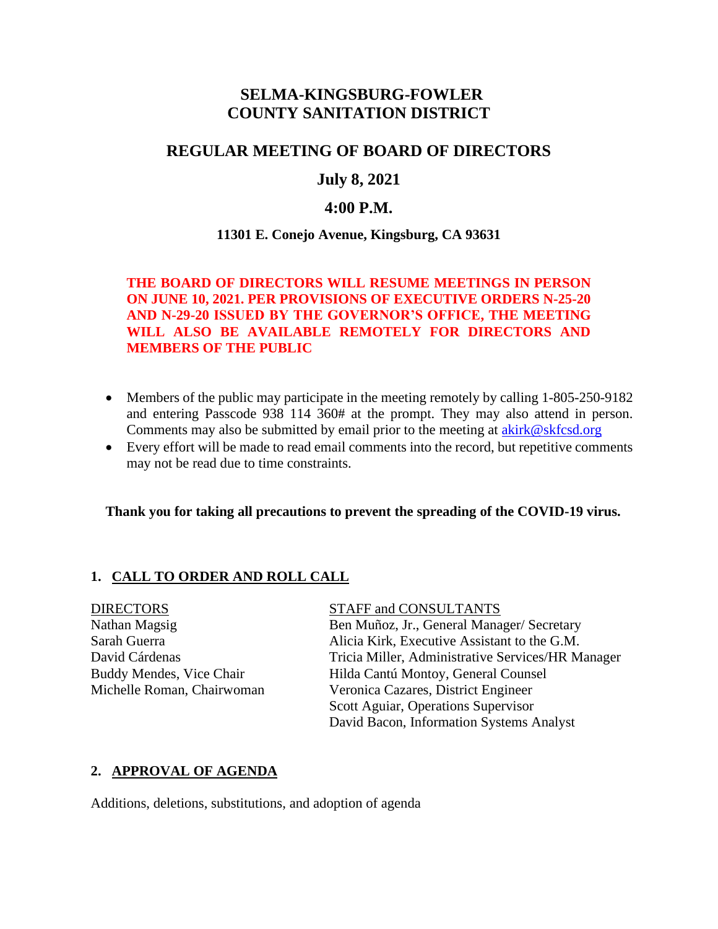# **SELMA-KINGSBURG-FOWLER COUNTY SANITATION DISTRICT**

# **REGULAR MEETING OF BOARD OF DIRECTORS**

# **July 8, 2021**

# **4:00 P.M.**

### **11301 E. Conejo Avenue, Kingsburg, CA 93631**

## **THE BOARD OF DIRECTORS WILL RESUME MEETINGS IN PERSON ON JUNE 10, 2021. PER PROVISIONS OF EXECUTIVE ORDERS N-25-20 AND N-29-20 ISSUED BY THE GOVERNOR'S OFFICE, THE MEETING WILL ALSO BE AVAILABLE REMOTELY FOR DIRECTORS AND MEMBERS OF THE PUBLIC**

- Members of the public may participate in the meeting remotely by calling 1-805-250-9182 and entering Passcode 938 114 360# at the prompt. They may also attend in person. Comments may also be submitted by email prior to the meeting at **[akirk@skfcsd.org](mailto:akirk@skfcsd.org)**
- Every effort will be made to read email comments into the record, but repetitive comments may not be read due to time constraints.

#### **Thank you for taking all precautions to prevent the spreading of the COVID-19 virus.**

## **1. CALL TO ORDER AND ROLL CALL**

#### DIRECTORS STAFF and CONSULTANTS

Nathan Magsig Ben Muñoz, Jr., General Manager/ Secretary Sarah Guerra **Alicia Kirk, Executive Assistant to the G.M.** David Cárdenas Tricia Miller, Administrative Services/HR Manager Buddy Mendes, Vice Chair Hilda Cantú Montoy, General Counsel Michelle Roman, Chairwoman Veronica Cazares, District Engineer Scott Aguiar, Operations Supervisor David Bacon, Information Systems Analyst

#### **2. APPROVAL OF AGENDA**

Additions, deletions, substitutions, and adoption of agenda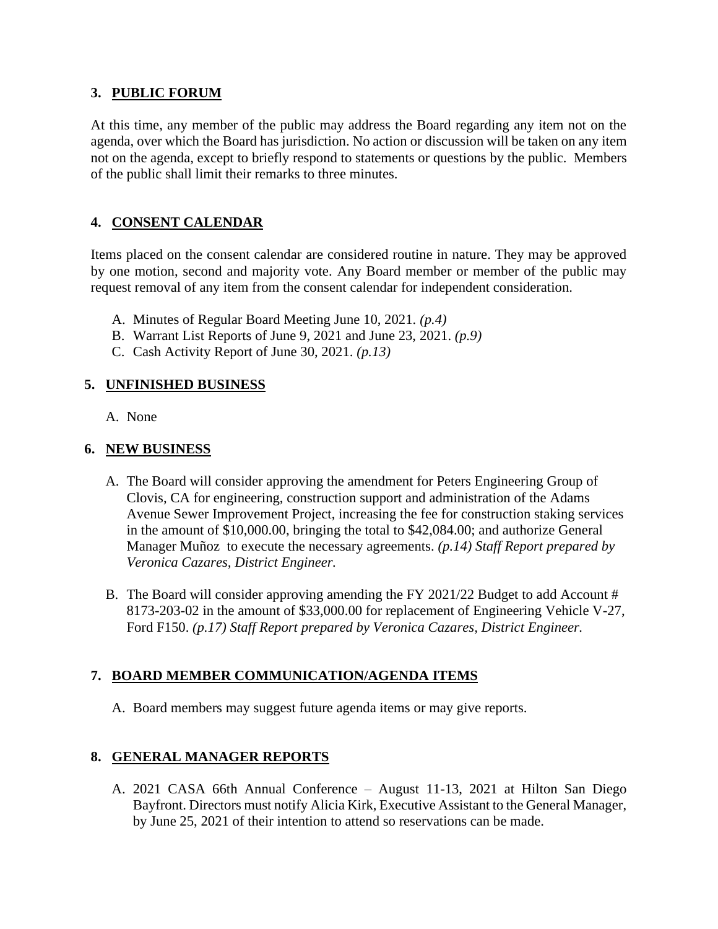## **3. PUBLIC FORUM**

At this time, any member of the public may address the Board regarding any item not on the agenda, over which the Board has jurisdiction. No action or discussion will be taken on any item not on the agenda, except to briefly respond to statements or questions by the public. Members of the public shall limit their remarks to three minutes.

# **4. CONSENT CALENDAR**

Items placed on the consent calendar are considered routine in nature. They may be approved by one motion, second and majority vote. Any Board member or member of the public may request removal of any item from the consent calendar for independent consideration.

- A. Minutes of Regular Board Meeting June 10, 2021. *(p.4)*
- B. Warrant List Reports of June 9, 2021 and June 23, 2021. *(p.9)*
- C. Cash Activity Report of June 30, 2021. *(p.13)*

### **5. UNFINISHED BUSINESS**

A. None

### **6. NEW BUSINESS**

- A. The Board will consider approving the amendment for Peters Engineering Group of Clovis, CA for engineering, construction support and administration of the Adams Avenue Sewer Improvement Project, increasing the fee for construction staking services in the amount of \$10,000.00, bringing the total to \$42,084.00; and authorize General Manager Muñoz to execute the necessary agreements. *(p.14) Staff Report prepared by Veronica Cazares, District Engineer.*
- B. The Board will consider approving amending the FY 2021/22 Budget to add Account # 8173-203-02 in the amount of \$33,000.00 for replacement of Engineering Vehicle V-27, Ford F150. *(p.17) Staff Report prepared by Veronica Cazares, District Engineer.*

## **7. BOARD MEMBER COMMUNICATION/AGENDA ITEMS**

A. Board members may suggest future agenda items or may give reports.

## **8. GENERAL MANAGER REPORTS**

A. 2021 CASA 66th Annual Conference – August 11-13, 2021 at Hilton San Diego Bayfront. Directors must notify Alicia Kirk, Executive Assistant to the General Manager, by June 25, 2021 of their intention to attend so reservations can be made.